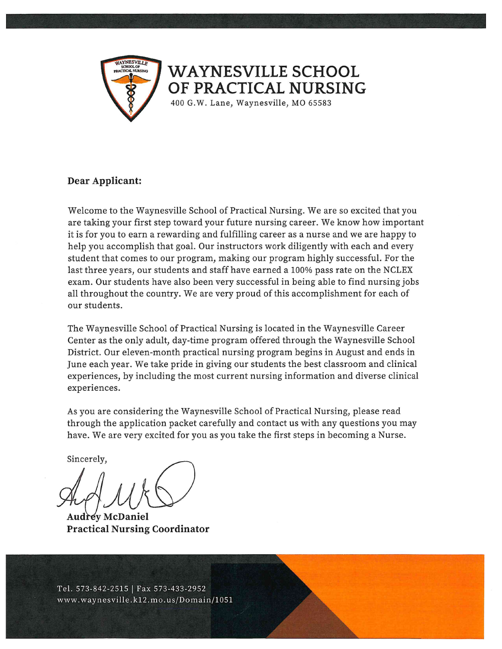

#### **WAYNESVILLE SCHOOL** OF PRACTICAL NURSING

400 G.W. Lane, Waynesville, MO 65583

#### Dear Applicant:

Welcome to the Waynesville School of Practical Nursing. We are so excited that you are taking your first step toward your future nursing career. We know how important it is for you to earn a rewarding and fulfilling career as a nurse and we are happy to help you accomplish that goal. Our instructors work diligently with each and every student that comes to our program, making our program highly successful. For the last three years, our students and staff have earned a 100% pass rate on the NCLEX exam. Our students have also been very successful in being able to find nursing jobs all throughout the country. We are very proud of this accomplishment for each of our students.

The Waynesville School of Practical Nursing is located in the Waynesville Career Center as the only adult, day-time program offered through the Waynesville School District. Our eleven-month practical nursing program begins in August and ends in June each year. We take pride in giving our students the best classroom and clinical experiences, by including the most current nursing information and diverse clinical experiences.

As you are considering the Waynesville School of Practical Nursing, please read through the application packet carefully and contact us with any questions you may have. We are very excited for you as you take the first steps in becoming a Nurse.

Sincerely,

**Audrey McDaniel Practical Nursing Coordinator** 

Tel. 573-842-2515 | Fax 573-433-2952 www.waynesville.k12.mo.us/Domain/1051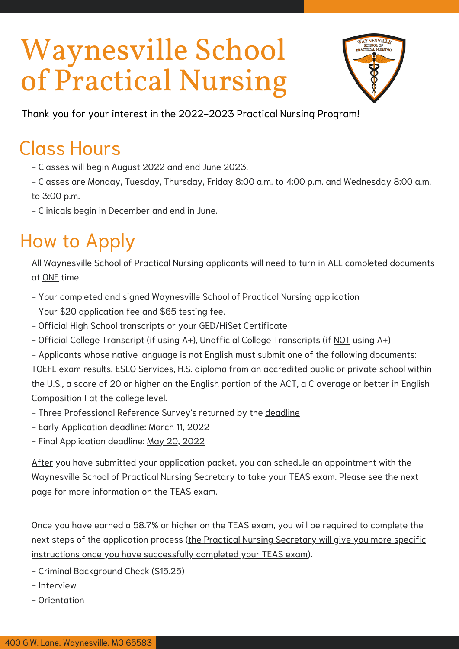

Thank you for your interest in the 2022-2023 Practical Nursing Program!

## Class Hours

- Classes will begin August 2022 and end June 2023.
- Classes are Monday, Tuesday, Thursday, Friday 8:00 a.m. to 4:00 p.m. and Wednesday 8:00 a.m. to 3:00 p.m.
- Clinicals begin in December and end in June.

## How to Apply

All Waynesville School of Practical Nursing applicants will need to turn in ALL completed documents at ONE time.

- Your completed and signed Waynesville School of Practical Nursing application
- Your \$20 application fee and \$65 testing fee.
- Official High School transcripts or your GED/HiSet Certificate
- Official College Transcript (if using A+), Unofficial College Transcripts (if NOT using A+)
- Applicants whose native language is not English must submit one of the following documents: TOEFL exam results, ESLO Services, H.S. diploma from an accredited public or private school within the U.S., a score of 20 or higher on the English portion of the ACT, a C average or better in English Composition I at the college level.
- Three Professional Reference Survey's returned by the deadline
- Early Application deadline: March 11, 2022
- Final Application deadline: May 20, 2022

After you have submitted your application packet, you can schedule an appointment with the Waynesville School of Practical Nursing Secretary to take your TEAS exam. Please see the next page for more information on the TEAS exam.

Once you have earned a 58.7% or higher on the TEAS exam, you will be required to complete the next steps of the application process (the Practical Nursing Secretary will give you more specific instructions once you have successfully completed your TEAS exam).

- Criminal Background Check (\$15.25)
- Interview
- Orientation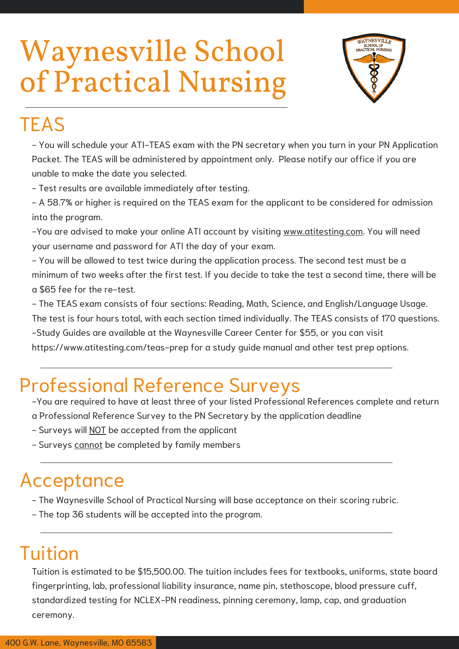

### **TEAS**

- You will schedule your ATI-TEAS exam with the PN secretary when you turn in your PN Application Packet. The TEAS will be administered by appointment only. Please notify our office if you are unable to make the date you selected.

- Test results are available immediately after testing.

- A 58.7% or higher is required on the TEAS exam for the applicant to be considered for admission into the program.

-You are advised to make your online ATI account by visiting www.atitesting.com. You will need your username and password for ATI the day of your exam.

- You will be allowed to test twice during the application process. The second test must be a minimum of two weeks after the first test. If you decide to take the test a second time, there will be a \$65 fee for the re-test.

- The TEAS exam consists of four sections: Reading, Math, Science, and English/Language Usage. The test is four hours total, with each section timed individually. The TEAS consists of 170 questions. -Study Guides are available at the Waynesville Career Center for \$55, or you can visit https://www.atitesting.com/teas-prep for a study guide manual and other test prep options.

### Professional Reference Surveys

-You are required to have at least three of your listed Professional References complete and return a Professional Reference Survey to the PN Secretary by the application deadline

- Surveys will NOT be accepted from the applicant
- Surveys cannot be completed by family members

### Acceptance

- The Waynesville School of Practical Nursing will base acceptance on their scoring rubric.
- The top 36 students will be accepted into the program.

### Tuition

Tuition is estimated to be \$15,500.00. The tuition includes fees for textbooks, uniforms, state board fingerprinting, lab, professional liability insurance, name pin, stethoscope, blood pressure cuff, standardized testing for NCLEX-PN readiness, pinning ceremony, lamp, cap, and graduation ceremony.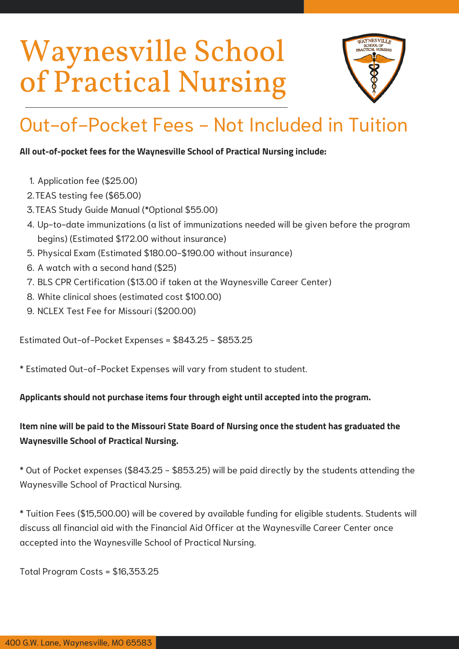

## Out-of-Pocket Fees - Not Included in Tuition

#### **All out-of-pocket fees for the Waynesville School of Practical Nursing include:**

- 1. Application fee (\$25.00)
- 2. TEAS testing fee (\$65.00)
- TEAS Study Guide Manual (\*Optional \$55.00) 3.
- Up-to-date immunizations (a list of immunizations needed will be given before the program 4. begins) (Estimated \$172.00 without insurance)
- 5. Physical Exam (Estimated \$180.00-\$190.00 without insurance)
- 6. A watch with a second hand (\$25)
- BLS CPR Certification (\$13.00 if taken at the Waynesville Career Center) 7.
- White clinical shoes (estimated cost \$100.00) 8.
- 9. NCLEX Test Fee for Missouri (\$200.00)

Estimated Out-of-Pocket Expenses = \$843.25 - \$853.25

\* Estimated Out-of-Pocket Expenses will vary from student to student.

#### **Applicants should not purchase items four through eight until accepted into the program.**

#### **Item nine will be paid to the Missouri State Board of Nursing once the student has graduated the Waynesville School of Practical Nursing.**

\* Out of Pocket expenses (\$843.25 - \$853.25) will be paid directly by the students attending the Waynesville School of Practical Nursing.

\* Tuition Fees (\$15,500.00) will be covered by available funding for eligible students. Students will discuss all financial aid with the Financial Aid Officer at the Waynesville Career Center once accepted into the Waynesville School of Practical Nursing.

Total Program Costs = \$16,353.25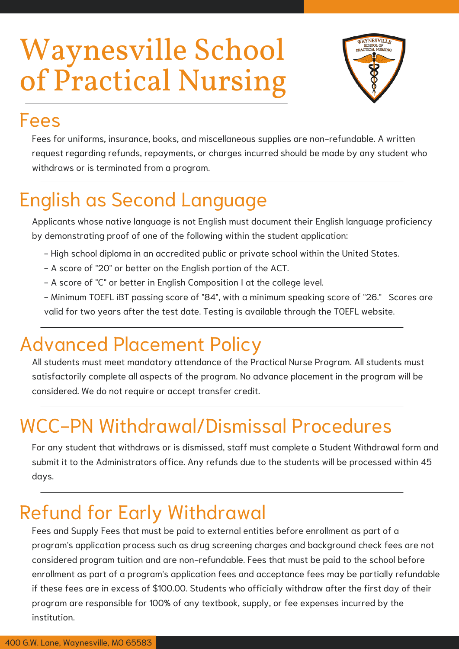

### Fees

Fees for uniforms, insurance, books, and miscellaneous supplies are non-refundable. A written request regarding refunds, repayments, or charges incurred should be made by any student who withdraws or is terminated from a program.

## English as Second Language

Applicants whose native language is not English must document their English language proficiency by demonstrating proof of one of the following within the student application:

- High school diploma in an accredited public or private school within the United States.
- A score of "20" or better on the English portion of the ACT.
- A score of "C" or better in English Composition I at the college level.
- Minimum TOEFL iBT passing score of "84", with a minimum speaking score of "26." Scores are valid for two years after the test date. Testing is available through the TOEFL website.

### Advanced Placement Policy

All students must meet mandatory attendance of the Practical Nurse Program. All students must satisfactorily complete all aspects of the program. No advance placement in the program will be considered. We do not require or accept transfer credit.

## WCC-PN Withdrawal/Dismissal Procedures

For any student that withdraws or is dismissed, staff must complete a Student Withdrawal form and submit it to the Administrators office. Any refunds due to the students will be processed within 45 days.

### Refund for Early Withdrawal

Fees and Supply Fees that must be paid to external entities before enrollment as part of a program's application process such as drug screening charges and background check fees are not considered program tuition and are non-refundable. Fees that must be paid to the school before enrollment as part of a program's application fees and acceptance fees may be partially refundable if these fees are in excess of \$100.00. Students who officially withdraw after the first day of their program are responsible for 100% of any textbook, supply, or fee expenses incurred by the institution.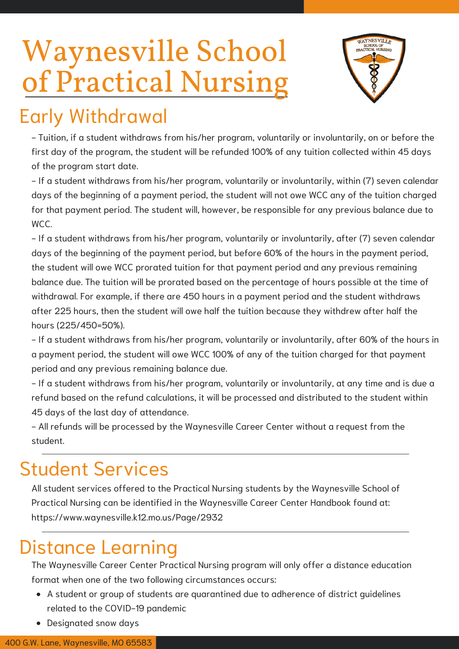

### Early Withdrawal

- Tuition, if a student withdraws from his/her program, voluntarily or involuntarily, on or before the first day of the program, the student will be refunded 100% of any tuition collected within 45 days of the program start date.

- If a student withdraws from his/her program, voluntarily or involuntarily, within (7) seven calendar days of the beginning of a payment period, the student will not owe WCC any of the tuition charged for that payment period. The student will, however, be responsible for any previous balance due to WCC.

- If a student withdraws from his/her program, voluntarily or involuntarily, after (7) seven calendar days of the beginning of the payment period, but before 60% of the hours in the payment period, the student will owe WCC prorated tuition for that payment period and any previous remaining balance due. The tuition will be prorated based on the percentage of hours possible at the time of withdrawal. For example, if there are 450 hours in a payment period and the student withdraws after 225 hours, then the student will owe half the tuition because they withdrew after half the hours (225/450=50%).

- If a student withdraws from his/her program, voluntarily or involuntarily, after 60% of the hours in a payment period, the student will owe WCC 100% of any of the tuition charged for that payment period and any previous remaining balance due.

- If a student withdraws from his/her program, voluntarily or involuntarily, at any time and is due a refund based on the refund calculations, it will be processed and distributed to the student within 45 days of the last day of attendance.

- All refunds will be processed by the Waynesville Career Center without a request from the student.

### Student Services

All student services offered to the Practical Nursing students by the Waynesville School of Practical Nursing can be identified in the Waynesville Career Center Handbook found at: https://www.waynesville.k12.mo.us/Page/2932

### Distance Learning

The Waynesville Career Center Practical Nursing program will only offer a distance education format when one of the two following circumstances occurs:

- A student or group of students are quarantined due to adherence of district guidelines related to the COVID-19 pandemic
- Designated snow days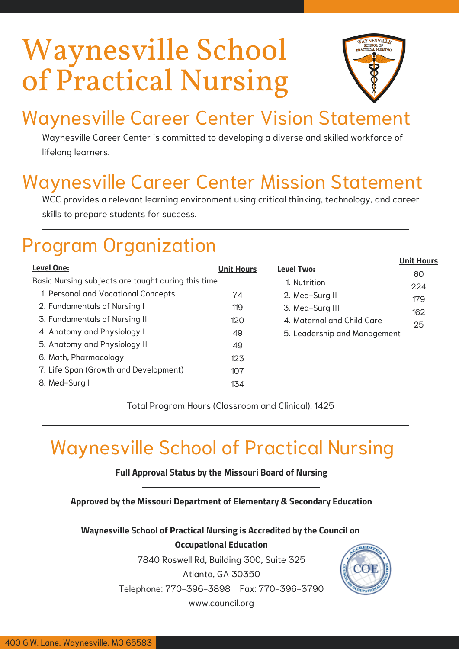

**Unit Hours**

## Waynesville Career Center Vision Statement

Waynesville Career Center is committed to developing a diverse and skilled workforce of lifelong learners.

### Waynesville Career Center Mission Statement

WCC provides a relevant learning environment using critical thinking, technology, and career skills to prepare students for success.

### Program Organization

|                                                    |                   |                              | UIIIL NOUIS |
|----------------------------------------------------|-------------------|------------------------------|-------------|
| Level One:                                         | <b>Unit Hours</b> | <b>Level Two:</b>            | 60          |
| Basic Nursing subjects are taught during this time |                   | 1. Nutrition                 | 224         |
| 1. Personal and Vocational Concepts                | 74                | 2. Med-Surg II               | 179         |
| 2. Fundamentals of Nursing I                       | 119               | 3. Med-Surg III              |             |
| 3. Fundamentals of Nursing II                      | 120               | 4. Maternal and Child Care   | 162         |
| 4. Anatomy and Physiology I                        | 49                | 5. Leadership and Management | 25          |
| 5. Anatomy and Physiology II                       | 49                |                              |             |
| 6. Math, Pharmacology                              | 123               |                              |             |
| 7. Life Span (Growth and Development)              | 107               |                              |             |
| 8. Med-Surg I                                      | 134               |                              |             |

Total Program Hours (Classroom and Clinical): 1425

### Waynesville School of Practical Nursing

#### **Full Approval Status by the Missouri Board of Nursing**

**Approved by the Missouri Department of Elementary & Secondary Education**

**Waynesville School of Practical Nursing is Accredited by the Council on Occupational Education**

7840 Roswell Rd, Building 300, Suite 325

Atlanta, GA 30350

Telephone: 770-396-3898 Fax: 770-396-3790

www.council.org

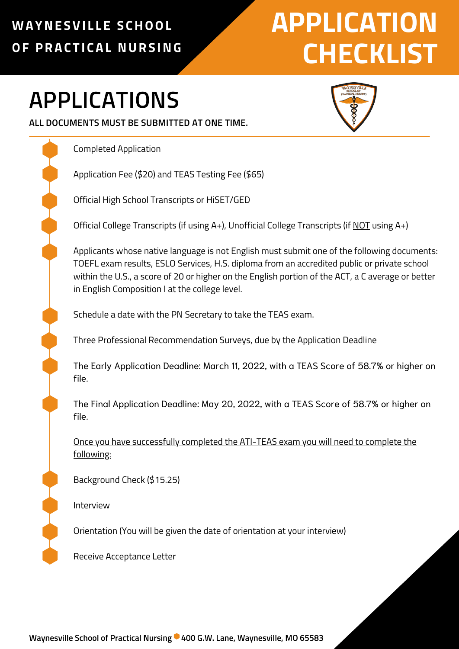### **WAYNE SVI L L E S CHOOL OF PRAC T I CAL NURS ING**

# **APPLICATION CHECKLIST**

## **APPLICATIONS**



Completed Application

Application Fee (\$20) and TEAS Testing Fee (\$65)

Official High School Transcripts or HiSET/GED

Official College Transcripts (if using A+), Unofficial College Transcripts (if NOT using A+)

Applicants whose native language is not English must submit one of the following documents: TOEFL exam results, ESLO Services, H.S. diploma from an accredited public or private school within the U.S., a score of 20 or higher on the English portion of the ACT, a C average or better in English Composition I at the college level.

Schedule a date with the PN Secretary to take the TEAS exam.

Three Professional Recommendation Surveys, due by the Application Deadline

The Early Application Deadline: March 11, 2022, with a TEAS Score of 58.7% or higher on file.

The Final Application Deadline: May 20, 2022, with a TEAS Score of 58.7% or higher on file.

Once you have successfully completed the ATI-TEAS exam you will need to complete the following:

Background Check (\$15.25)

Interview

Orientation (You will be given the date of orientation at your interview)

Receive Acceptance Letter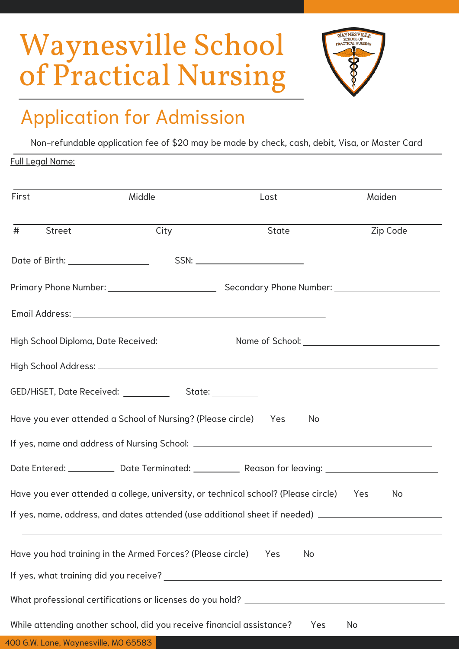

## Application for Admission

Non-refundable application fee of \$20 may be made by check, cash, debit, Visa, or Master Card

#### Full Legal Name:

| First                                | Middle                                                                | Last                                                                                                 | Maiden   |
|--------------------------------------|-----------------------------------------------------------------------|------------------------------------------------------------------------------------------------------|----------|
| #<br><b>Street</b>                   | City                                                                  | State                                                                                                | Zip Code |
| Date of Birth: __________________    |                                                                       |                                                                                                      |          |
|                                      |                                                                       |                                                                                                      |          |
|                                      |                                                                       |                                                                                                      |          |
|                                      | High School Diploma, Date Received: __________                        |                                                                                                      |          |
|                                      |                                                                       |                                                                                                      |          |
|                                      |                                                                       |                                                                                                      |          |
|                                      | Have you ever attended a School of Nursing? (Please circle) Yes       | No.                                                                                                  |          |
|                                      |                                                                       |                                                                                                      |          |
|                                      |                                                                       | Date Entered: _____________ Date Terminated: ____________ Reason for leaving: ______________________ |          |
|                                      |                                                                       | Have you ever attended a college, university, or technical school? (Please circle) Yes               | No       |
|                                      |                                                                       | If yes, name, address, and dates attended (use additional sheet if needed) ________________________  |          |
|                                      | Have you had training in the Armed Forces? (Please circle)            | No<br>Yes                                                                                            |          |
|                                      |                                                                       |                                                                                                      |          |
|                                      |                                                                       |                                                                                                      |          |
| 400 G.W. Lane, Waynesville, MO 65583 | While attending another school, did you receive financial assistance? | Yes                                                                                                  | No       |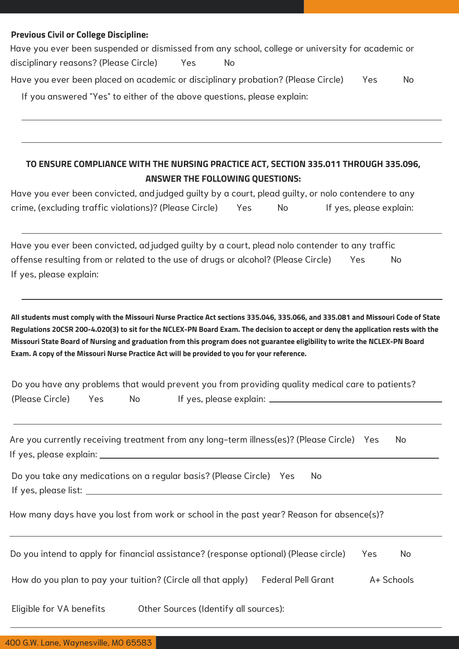#### **Previous Civil or College Discipline:**

Have you ever been suspended or dismissed from any school, college or university for academic or disciplinary reasons? (Please Circle) Yes No Have you ever been placed on academic or disciplinary probation? (Please Circle) Yes No If you answered "Yes" to either of the above questions, please explain:

#### **TO ENSURE COMPLIANCE WITH THE NURSING PRACTICE ACT, SECTION 335.011 THROUGH 335.096, ANSWER THE FOLLOWING QUESTIONS:**

Have you ever been convicted, and judged guilty by a court, plead guilty, or nolo contendere to any crime, (excluding traffic violations)? (Please Circle) Yes No If yes, please explain:

Have you ever been convicted, adjudged guilty by a court, plead nolo contender to any traffic offense resulting from or related to the use of drugs or alcohol? (Please Circle) Yes No If yes, please explain:

All students must comply with the Missouri Nurse Practice Act sections 335.046, 335.066, and 335.081 and Missouri Code of State Regulations 20CSR 200-4.020(3) to sit for the NCLEX-PN Board Exam. The decision to accept or deny the application rests with the Missouri State Board of Nursing and graduation from this program does not guarantee eligibility to write the NCLEX-PN Board **Exam. A copy of the Missouri Nurse Practice Act will be provided to you for your reference.**

|                     |     | Do you have any problems that would prevent you from providing quality medical care to patients? |
|---------------------|-----|--------------------------------------------------------------------------------------------------|
| (Please Circle) Yes | No. | If yes, please explain:                                                                          |

| Are you currently receiving treatment from any long-term illness(es)? (Please Circle) Yes |  |  |
|-------------------------------------------------------------------------------------------|--|--|
| If yes, please explain:                                                                   |  |  |

Do you take any medications on a regular basis? (Please Circle) Yes No If yes, please list:

How many days have you lost from work or school in the past year? Reason for absence(s)?

| Do you intend to apply for financial assistance? (response optional) (Please circle) | Yes.               | No.        |  |
|--------------------------------------------------------------------------------------|--------------------|------------|--|
| How do you plan to pay your tuition? (Circle all that apply)                         | Federal Pell Grant | A+ Schools |  |

Eligible for VA benefits Other Sources (Identify all sources):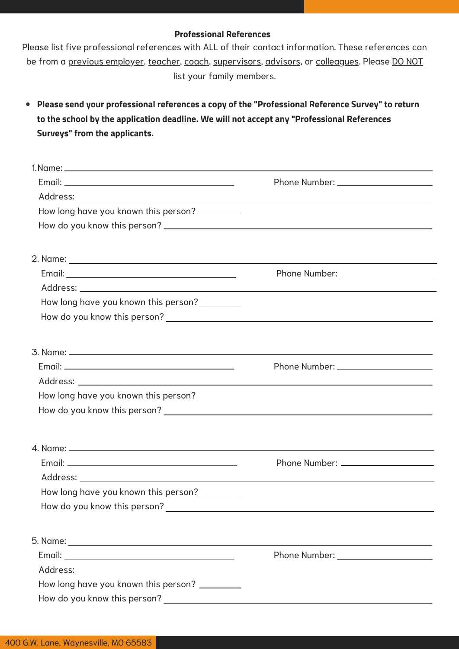#### **Professional References**

Please list five professional references with ALL of their contact information. These references can be from a previous employer, teacher, coach, supervisors, advisors, or colleagues. Please DO NOT list your family members.

**Please send your professional references a copy of the "Professional Reference Survey" to return to the school by the application deadline. We will not accept any "Professional References Surveys" from the applicants.**

| How long have you known this person? _________ |  |  |  |
|------------------------------------------------|--|--|--|
|                                                |  |  |  |
|                                                |  |  |  |
|                                                |  |  |  |
|                                                |  |  |  |
| How long have you known this person?           |  |  |  |
|                                                |  |  |  |
|                                                |  |  |  |
|                                                |  |  |  |
|                                                |  |  |  |
| How long have you known this person? ________  |  |  |  |
|                                                |  |  |  |
|                                                |  |  |  |
|                                                |  |  |  |
|                                                |  |  |  |
| How long have you known this person?           |  |  |  |
| How do you know this person?                   |  |  |  |
|                                                |  |  |  |
|                                                |  |  |  |
|                                                |  |  |  |
| How long have you known this person? _________ |  |  |  |
|                                                |  |  |  |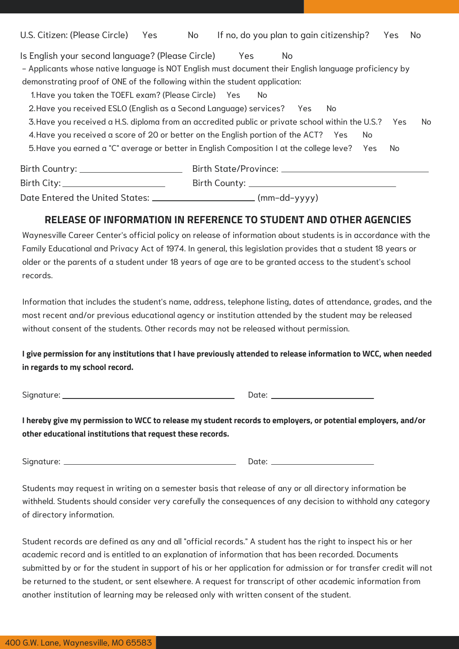| U.S. Citizen: (Please Circle)                                                                         | Yes | No |                                                   |     | If no, do you plan to gain citizenship? | Yes | No |
|-------------------------------------------------------------------------------------------------------|-----|----|---------------------------------------------------|-----|-----------------------------------------|-----|----|
| Is English your second language? (Please Circle)                                                      |     |    | <b>Yes</b>                                        | No. |                                         |     |    |
| - Applicants whose native language is NOT English must document their English language proficiency by |     |    |                                                   |     |                                         |     |    |
| demonstrating proof of ONE of the following within the student application:                           |     |    |                                                   |     |                                         |     |    |
| 1. Have you taken the TOEFL exam? (Please Circle) Yes                                                 |     |    | No.                                               |     |                                         |     |    |
| 2. Have you received ESLO (English as a Second Language) services? Yes                                |     |    |                                                   |     | No.                                     |     |    |
| 3. Have you received a H.S. diploma from an accredited public or private school within the U.S.?      |     |    |                                                   |     |                                         | Yes | No |
| 4. Have you received a score of 20 or better on the English portion of the ACT? Yes                   |     |    |                                                   |     | No.                                     |     |    |
| 5. Have you earned a "C" average or better in English Composition I at the college leve? Yes          |     |    |                                                   |     |                                         | No. |    |
| Birth Country: ________________________                                                               |     |    |                                                   |     |                                         |     |    |
| Birth City:__________________________                                                                 |     |    | Birth County: <u>____________________________</u> |     |                                         |     |    |
| Date Entered the United States: ______________________________(mm-dd-yyyy)                            |     |    |                                                   |     |                                         |     |    |

#### **RELEASE OF INFORMATION IN REFERENCE TO STUDENT AND OTHER AGENCIES**

Waynesville Career Center's official policy on release of information about students is in accordance with the Family Educational and Privacy Act of 1974. In general, this legislation provides that a student 18 years or older or the parents of a student under 18 years of age are to be granted access to the student's school records.

Information that includes the student's name, address, telephone listing, dates of attendance, grades, and the most recent and/or previous educational agency or institution attended by the student may be released without consent of the students. Other records may not be released without permission.

I give permission for any institutions that I have previously attended to release information to WCC, when needed **in regards to my school record.**

Signature: Date:

I hereby give my permission to WCC to release my student records to employers, or potential employers, and/or **other educational institutions that request these records.**

Signature: Date:

Students may request in writing on a semester basis that release of any or all directory information be withheld. Students should consider very carefully the consequences of any decision to withhold any category of directory information.

Student records are defined as any and all "official records." A student has the right to inspect his or her academic record and is entitled to an explanation of information that has been recorded. Documents submitted by or for the student in support of his or her application for admission or for transfer credit will not be returned to the student, or sent elsewhere. A request for transcript of other academic information from another institution of learning may be released only with written consent of the student.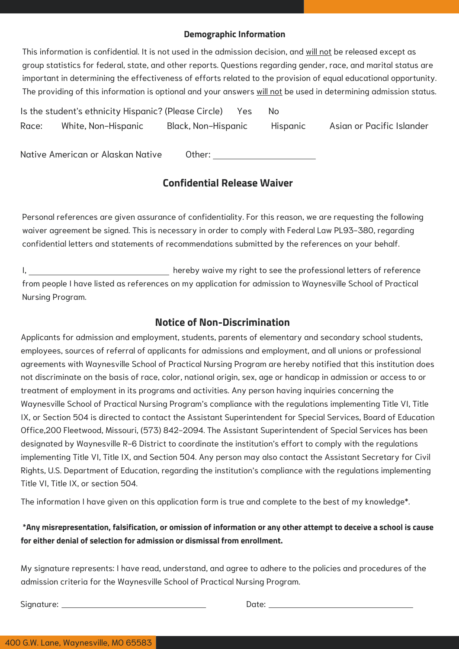#### **Demographic Information**

This information is confidential. It is not used in the admission decision, and will not be released except as group statistics for federal, state, and other reports. Questions regarding gender, race, and marital status are important in determining the effectiveness of efforts related to the provision of equal educational opportunity. The providing of this information is optional and your answers will not be used in determining admission status.

|       | Is the student's ethnicity Hispanic? (Please Circle) |                     | Yes | No.      |                           |
|-------|------------------------------------------------------|---------------------|-----|----------|---------------------------|
| Race: | White, Non-Hispanic                                  | Black, Non-Hispanic |     | Hispanic | Asian or Pacific Islander |

Native American or Alaskan Native Other:

#### **Confidential Release Waiver**

Personal references are given assurance of confidentiality. For this reason, we are requesting the following waiver agreement be signed. This is necessary in order to comply with Federal Law PL93-380, regarding confidential letters and statements of recommendations submitted by the references on your behalf.

I, 1. 1. **hereby waive my right to see the professional letters of reference** from people I have listed as references on my application for admission to Waynesville School of Practical Nursing Program.

#### **Notice of Non-Discrimination**

Applicants for admission and employment, students, parents of elementary and secondary school students, employees, sources of referral of applicants for admissions and employment, and all unions or professional agreements with Waynesville School of Practical Nursing Program are hereby notified that this institution does not discriminate on the basis of race, color, national origin, sex, age or handicap in admission or access to or treatment of employment in its programs and activities. Any person having inquiries concerning the Waynesville School of Practical Nursing Program's compliance with the regulations implementing Title VI, Title IX, or Section 504 is directed to contact the Assistant Superintendent for Special Services, Board of Education Office,200 Fleetwood, Missouri, (573) 842-2094. The Assistant Superintendent of Special Services has been designated by Waynesville R-6 District to coordinate the institution's effort to comply with the regulations implementing Title VI, Title IX, and Section 504. Any person may also contact the Assistant Secretary for Civil Rights, U.S. Department of Education, regarding the institution's compliance with the regulations implementing Title VI, Title IX, or section 504.

The information I have given on this application form is true and complete to the best of my knowledge\*.

#### \*Any misrepresentation, falsification, or omission of information or any other attempt to deceive a school is cause **for either denial of selection for admission or dismissal from enrollment.**

My signature represents: I have read, understand, and agree to adhere to the policies and procedures of the admission criteria for the Waynesville School of Practical Nursing Program.

Signature: Date: